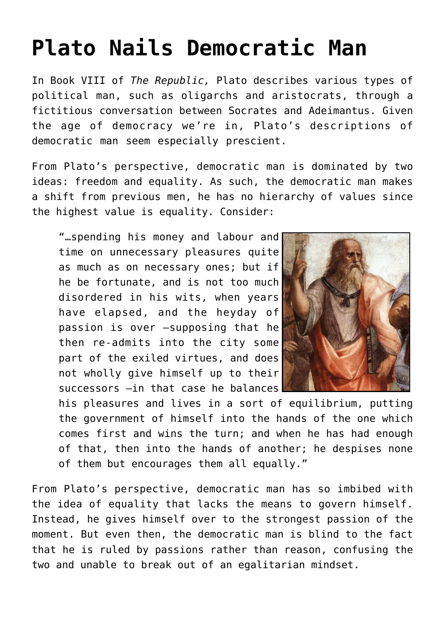## **[Plato Nails Democratic Man](https://intellectualtakeout.org/2015/10/plato-nails-democratic-man/)**

In Book VIII of *The Republic,* Plato describes various types of political man, such as oligarchs and aristocrats, through a fictitious conversation between Socrates and Adeimantus. Given the age of democracy we're in, Plato's descriptions of democratic man seem especially prescient.

From Plato's perspective, democratic man is dominated by two ideas: freedom and equality. As such, the democratic man makes a shift from previous men, he has no hierarchy of values since the highest value is equality. Consider:

"…spending his money and labour and time on unnecessary pleasures quite as much as on necessary ones; but if he be fortunate, and is not too much disordered in his wits, when years have elapsed, and the heyday of passion is over –supposing that he then re-admits into the city some part of the exiled virtues, and does not wholly give himself up to their successors –in that case he balances



his pleasures and lives in a sort of equilibrium, putting the government of himself into the hands of the one which comes first and wins the turn; and when he has had enough of that, then into the hands of another; he despises none of them but encourages them all equally."

From Plato's perspective, democratic man has so imbibed with the idea of equality that lacks the means to govern himself. Instead, he gives himself over to the strongest passion of the moment. But even then, the democratic man is blind to the fact that he is ruled by passions rather than reason, confusing the two and unable to break out of an egalitarian mindset.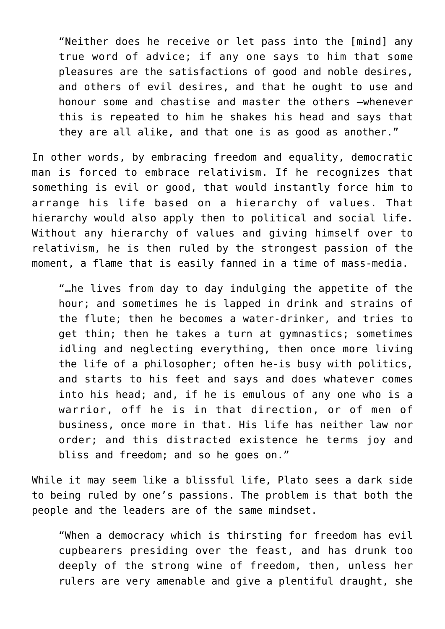"Neither does he receive or let pass into the [mind] any true word of advice; if any one says to him that some pleasures are the satisfactions of good and noble desires, and others of evil desires, and that he ought to use and honour some and chastise and master the others –whenever this is repeated to him he shakes his head and says that they are all alike, and that one is as good as another."

In other words, by embracing freedom and equality, democratic man is forced to embrace relativism. If he recognizes that something is evil or good, that would instantly force him to arrange his life based on a hierarchy of values. That hierarchy would also apply then to political and social life. Without any hierarchy of values and giving himself over to relativism, he is then ruled by the strongest passion of the moment, a flame that is easily fanned in a time of mass-media.

"…he lives from day to day indulging the appetite of the hour; and sometimes he is lapped in drink and strains of the flute; then he becomes a water-drinker, and tries to get thin; then he takes a turn at gymnastics; sometimes idling and neglecting everything, then once more living the life of a philosopher; often he-is busy with politics, and starts to his feet and says and does whatever comes into his head; and, if he is emulous of any one who is a warrior, off he is in that direction, or of men of business, once more in that. His life has neither law nor order; and this distracted existence he terms joy and bliss and freedom; and so he goes on."

While it may seem like a blissful life, Plato sees a dark side to being ruled by one's passions. The problem is that both the people and the leaders are of the same mindset.

"When a democracy which is thirsting for freedom has evil cupbearers presiding over the feast, and has drunk too deeply of the strong wine of freedom, then, unless her rulers are very amenable and give a plentiful draught, she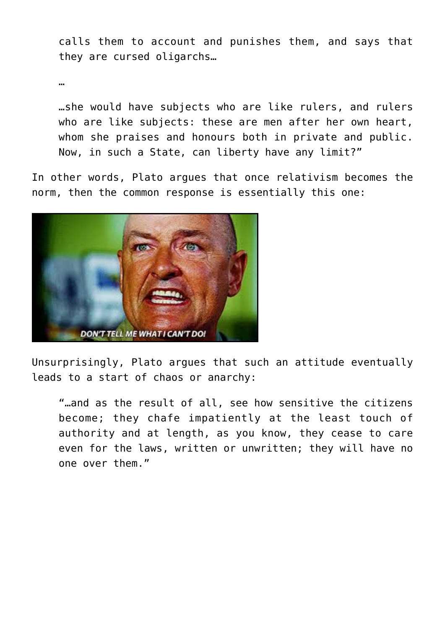calls them to account and punishes them, and says that they are cursed oligarchs…

…

…she would have subjects who are like rulers, and rulers who are like subjects: these are men after her own heart, whom she praises and honours both in private and public. Now, in such a State, can liberty have any limit?"

In other words, Plato argues that once relativism becomes the norm, then the common response is essentially this one:



Unsurprisingly, Plato argues that such an attitude eventually leads to a start of chaos or anarchy:

"…and as the result of all, see how sensitive the citizens become; they chafe impatiently at the least touch of authority and at length, as you know, they cease to care even for the laws, written or unwritten; they will have no one over them."